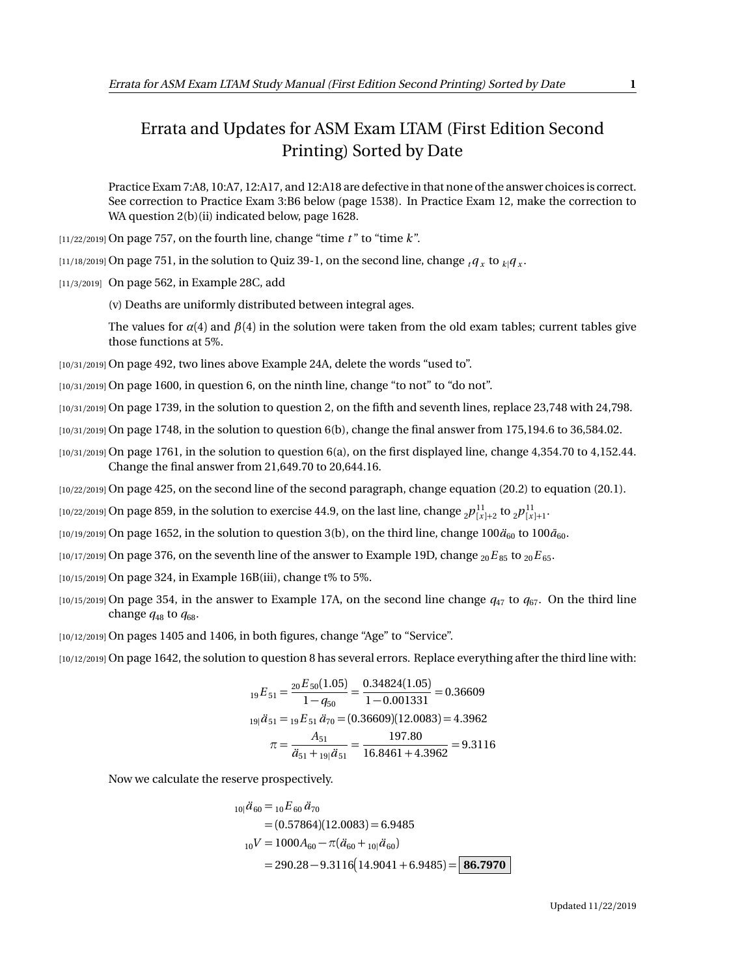## Errata and Updates for ASM Exam LTAM (First Edition Second Printing) Sorted by Date

Practice Exam 7:A8, 10:A7, 12:A17, and 12:A18 are defective in that none of the answer choices is correct. See correction to Practice Exam 3:B6 below (page 1538). In Practice Exam 12, make the correction to WA question 2(b)(ii) indicated below, page 1628.

 $\left[11/22/2019\right]$  On page 757, on the fourth line, change "time *t*" to "time *k*".

 $_{[11/18/2019]}$  On page 751, in the solution to Quiz 39-1, on the second line, change  $_{t}$ *q*  $_{x}$  to  $_{k}$   $_{q}$   $_{x}$  .

[11/3/2019] On page 562, in Example 28C, add

(v) Deaths are uniformly distributed between integral ages.

The values for  $\alpha(4)$  and  $\beta(4)$  in the solution were taken from the old exam tables; current tables give those functions at 5%.

[10/31/2019] On page 492, two lines above Example 24A, delete the words "used to".

[10/31/2019] On page 1600, in question 6, on the ninth line, change "to not" to "do not".

[10/31/2019] On page 1739, in the solution to question 2, on the fifth and seventh lines, replace 23,748 with 24,798.

- [10/31/2019] On page 1748, in the solution to question 6(b), change the final answer from 175,194.6 to 36,584.02.
- $(10/31/2019)$  On page 1761, in the solution to question 6(a), on the first displayed line, change 4,354.70 to 4,152.44. Change the final answer from 21,649.70 to 20,644.16.

[10/22/2019] On page 425, on the second line of the second paragraph, change equation (20.2) to equation (20.1).

 $_{[10/22/2019]}$  On page 859, in the solution to exercise 44.9, on the last line, change  $_{2}p_{[x]+2}^{11}$  to  $_{2}p_{[x]+1}^{11}$ .

[10/19/2019] On page 1652, in the solution to question 3(b), on the third line, change 100 $\ddot{a}_{60}$  to 100 $\ddot{a}_{60}$ .

 $[10/17/2019]$  On page 376, on the seventh line of the answer to Example 19D, change  ${}_{20}E_{85}$  to  ${}_{20}E_{65}$ .

[10/15/2019] On page 324, in Example 16B(iii), change t% to 5%.

[10/15/2019] On page 354, in the answer to Example 17A, on the second line change *q*<sup>47</sup> to *q*67. On the third line change  $q_{48}$  to  $q_{68}$ .

[10/12/2019] On pages 1405 and 1406, in both figures, change "Age" to "Service".

[10/12/2019] On page 1642, the solution to question 8 has several errors. Replace everything after the third line with:

$$
{}_{19}E_{51} = \frac{{}_{20}E_{50}(1.05)}{1 - q_{50}} = \frac{0.34824(1.05)}{1 - 0.001331} = 0.36609
$$
  

$$
I_{19}B_{51} = {}_{19}E_{51}B_{70} = (0.36609)(12.0083) = 4.3962
$$
  

$$
\pi = \frac{A_{51}}{B_{51} + {}_{19}B_{51}} = \frac{197.80}{16.8461 + 4.3962} = 9.3116
$$

Now we calculate the reserve prospectively.

$$
{}_{10|}\ddot{a}_{60} = {}_{10}E_{60}\ddot{a}_{70}
$$
  
= (0.57864)(12.0083) = 6.9485  

$$
{}_{10}V = 1000A_{60} - \pi(\ddot{a}_{60} + {}_{10}|\ddot{a}_{60})
$$
  
= 290.28 - 9.3116(14.9041 + 6.9485) = 86.7970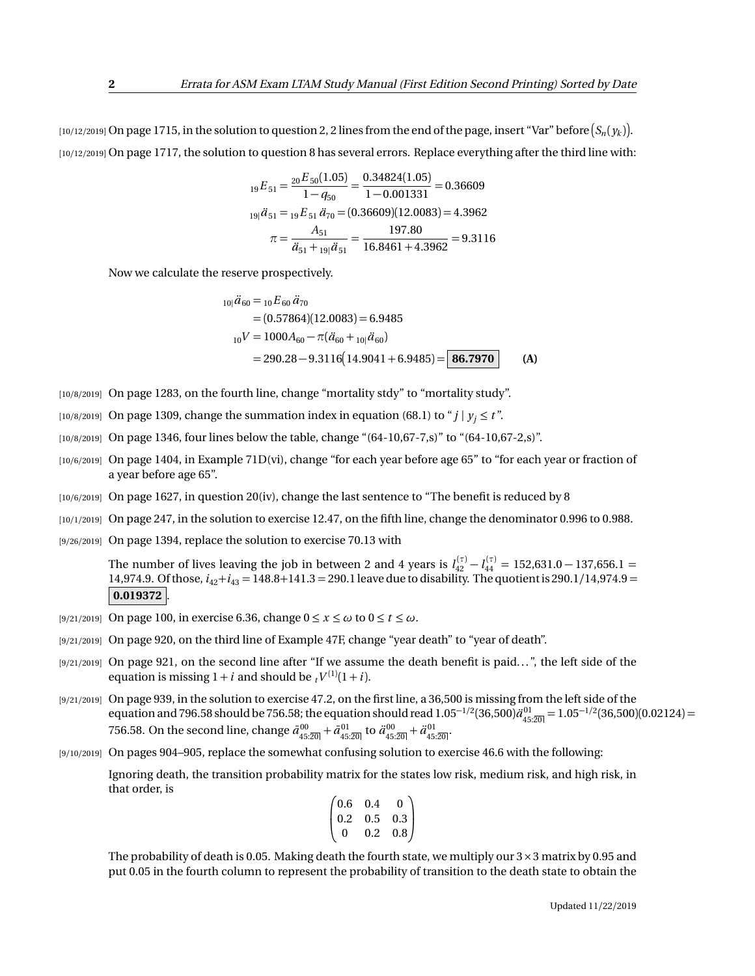$_1$ 10/12/2019] On page 1715, in the solution to question 2, 2 lines from the end of the page, insert "Var" before  $(S_n(y_k)].$ [10/12/2019] On page 1717, the solution to question 8 has several errors. Replace everything after the third line with:

$$
{}_{19}E_{51} = \frac{{}_{20}E_{50}(1.05)}{1 - q_{50}} = \frac{0.34824(1.05)}{1 - 0.001331} = 0.36609
$$
  

$$
I_{19}i\ddot{a}_{51} = {}_{19}E_{51}\ddot{a}_{70} = (0.36609)(12.0083) = 4.3962
$$
  

$$
\pi = \frac{A_{51}}{\ddot{a}_{51} + {}_{19}i\ddot{a}_{51}} = \frac{197.80}{16.8461 + 4.3962} = 9.3116
$$

Now we calculate the reserve prospectively.

$$
{}_{10} \ddot{a}_{60} = {}_{10}E_{60} \ddot{a}_{70}
$$
  
= (0.57864)(12.0083) = 6.9485  

$$
{}_{10}V = 1000A_{60} - \pi(\ddot{a}_{60} + {}_{10} \ddot{a}_{60})
$$
  
= 290.28 - 9.3116(14.9041 + 6.9485) = 86.7970 (A)

- [10/8/2019] On page 1283, on the fourth line, change "mortality stdy" to "mortality study".
- [10/8/2019] On page 1309, change the summation index in equation (68.1) to " $j \mid y_i \le t$ ".
- [10/8/2019] On page 1346, four lines below the table, change "(64-10,67-7,s)" to "(64-10,67-2,s)".
- [10/6/2019] On page 1404, in Example 71D(vi), change "for each year before age 65" to "for each year or fraction of a year before age 65".
- [10/6/2019] On page 1627, in question 20(iv), change the last sentence to "The benefit is reduced by 8
- [10/1/2019] On page 247, in the solution to exercise 12.47, on the fifth line, change the denominator 0.996 to 0.988.
- [9/26/2019] On page 1394, replace the solution to exercise 70.13 with

The number of lives leaving the job in between 2 and 4 years is  $l_{42}^{(\tau)} - l_{44}^{(\tau)} = 152{,}631.0 - 137{,}656.1 =$ 14,974.9. Of those, *i*42+*i*<sup>43</sup> = 148.8+141.3 = 290.1 leave due to disability. The quotient is 290.1*/*14,974.9 =  $|0.019372|$ 

- [9/21/2019] On page 100, in exercise 6.36, change  $0 \le x \le \omega$  to  $0 \le t \le \omega$ .
- [9/21/2019] On page 920, on the third line of Example 47F, change "year death" to "year of death".
- [9/21/2019] On page 921, on the second line after "If we assume the death benefit is paid...", the left side of the equation is missing  $1 + i$  and should be  $t^{V^{(1)}(1+i)}$ .
- [9/21/2019] On page 939, in the solution to exercise 47.2, on the first line, a 36,500 is missing from the left side of the equation and 796.58 should be 756.58; the equation should read  $1.05^{-1/2}(36,500) \ddot{a}_{45:\overline{20}|}^{01}=1.05^{-1/2}(36,500) (0.02124)=0.05$ 756.58. On the second line, change  $\bar{a}_{45:20]}^{00} + \bar{a}_{45:20}^{01}$  to  $\ddot{a}_{45:20]}^{00} + \ddot{a}_{45:20}^{01}$ .
- [9/10/2019] On pages 904–905, replace the somewhat confusing solution to exercise 46.6 with the following:

Ignoring death, the transition probability matrix for the states low risk, medium risk, and high risk, in that order, is

$$
\begin{pmatrix} 0.6 & 0.4 & 0 \\ 0.2 & 0.5 & 0.3 \\ 0 & 0.2 & 0.8 \end{pmatrix}
$$

The probability of death is 0.05. Making death the fourth state, we multiply our  $3 \times 3$  matrix by 0.95 and put 0.05 in the fourth column to represent the probability of transition to the death state to obtain the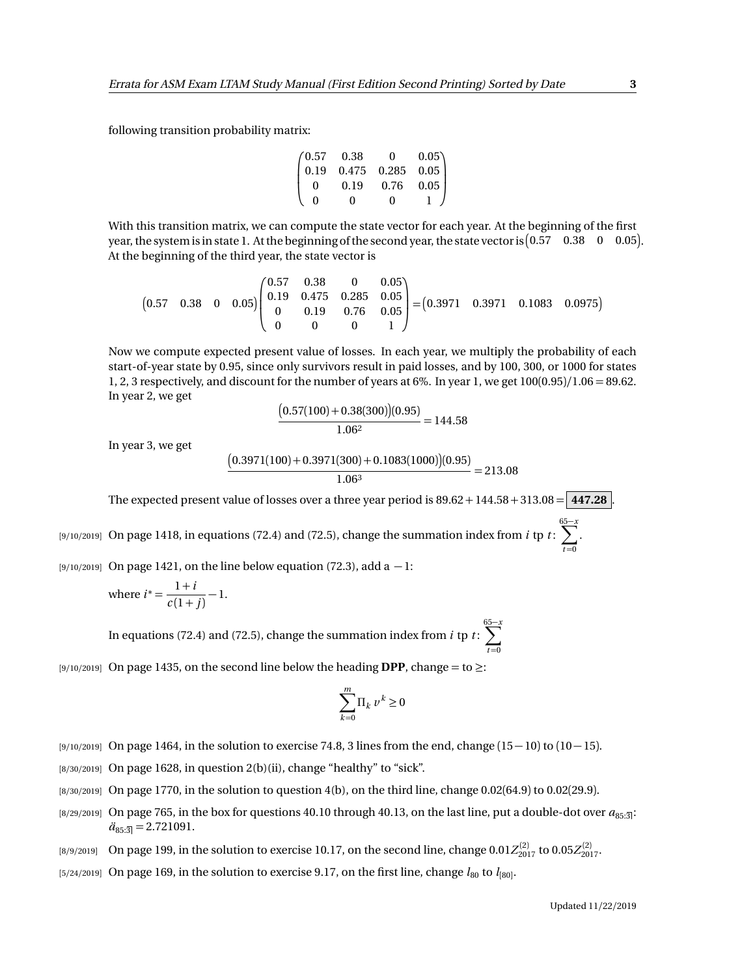following transition probability matrix:

$$
\begin{pmatrix} 0.57 & 0.38 & 0 & 0.05 \\ 0.19 & 0.475 & 0.285 & 0.05 \\ 0 & 0.19 & 0.76 & 0.05 \\ 0 & 0 & 0 & 1 \end{pmatrix}
$$

With this transition matrix, we can compute the state vector for each year. At the beginning of the first year, the system is in state 1. At the beginning of the second year, the state vector is  $(0.57 \quad 0.38 \quad 0 \quad 0.05)$ . At the beginning of the third year, the state vector is

$$
\begin{pmatrix}\n0.57 & 0.38 & 0 & 0.05 \\
0.19 & 0.475 & 0.285 & 0.05 \\
0 & 0.19 & 0.76 & 0.05 \\
0 & 0 & 0 & 1\n\end{pmatrix}\n=\n\begin{pmatrix}\n0.57 & 0.38 & 0 & 0.05 \\
0.05 & 0.05 & 0.05 \\
0 & 0 & 1\n\end{pmatrix}\n=\n\begin{pmatrix}\n0.3971 & 0.3971 & 0.1083 & 0.0975\n\end{pmatrix}
$$

Now we compute expected present value of losses. In each year, we multiply the probability of each start-of-year state by 0.95, since only survivors result in paid losses, and by 100, 300, or 1000 for states 1, 2, 3 respectively, and discount for the number of years at 6%. In year 1, we get 100(0.95)*/*1.06 = 89.62. In year 2, we get

$$
\frac{(0.57(100) + 0.38(300))(0.95)}{1.06^2} = 144.58
$$

In year 3, we get

$$
\frac{(0.3971(100) + 0.3971(300) + 0.1083(1000))(0.95)}{1.06^3} = 213.08
$$

The expected present value of losses over a three year period is  $89.62 + 144.58 + 313.08 = 447.28$ 

[9/10/2019] On page 1418, in equations (72.4) and (72.5), change the summation index from *i* tp *t* :  $\sum_{i=1}^{65-x}$  $t = 0$ 

[9/10/2019] On page 1421, on the line below equation (72.3), add a  $-1$ :

where 
$$
i^* = \frac{1+i}{c(1+j)} - 1
$$
.

In equations (72.4) and (72.5), change the summation index from *i* tp *t* : 65 X−*x*  $t = 0$ 

[9/10/2019] On page 1435, on the second line below the heading **DPP**, change = to ≥:

$$
\sum_{k=0}^m \Pi_k \, \upsilon^k \geq 0
$$

- [9/10/2019] On page 1464, in the solution to exercise 74.8, 3 lines from the end, change (15 − 10) to (10 − 15).
- $[8/30/2019]$  On page 1628, in question  $2(b)(ii)$ , change "healthy" to "sick".
- $[8/30/2019]$  On page 1770, in the solution to question 4(b), on the third line, change 0.02(64.9) to 0.02(29.9).
- [8/29/2019] On page 765, in the box for questions 40.10 through 40.13, on the last line, put a double-dot over  $a_{85:3}$ :  $\ddot{a}_{85:3} = 2.721091.$
- $_{[8/9/2019]}$  On page 199, in the solution to exercise 10.17, on the second line, change  $0.01 Z_{2017}^{(2)}$  to  $0.05 Z_{2017}^{(2)}$ .
- $_{[5/24/2019]}$  On page 169, in the solution to exercise 9.17, on the first line, change  $l_{80}$  to  $l_{[80]}$ .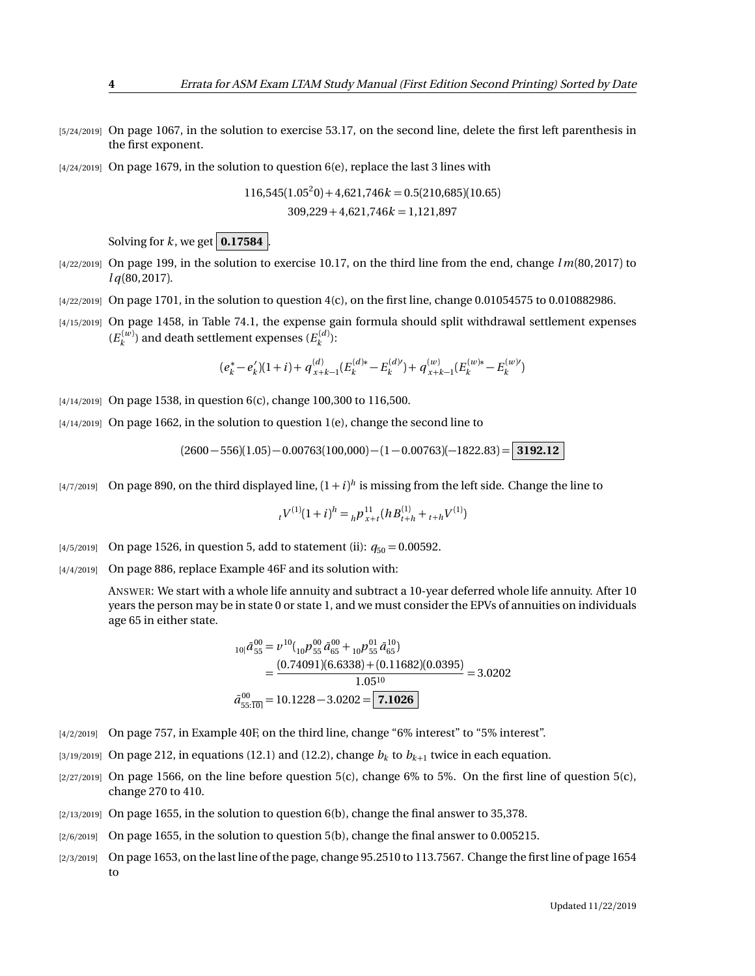- [5/24/2019] On page 1067, in the solution to exercise 53.17, on the second line, delete the first left parenthesis in the first exponent.
- $[4/24/2019]$  On page 1679, in the solution to question 6(e), replace the last 3 lines with

$$
116,545(1.05^20) + 4,621,746k = 0.5(210,685)(10.65)
$$
  
309,229 + 4,621,746k = 1,121,897

Solving for  $k$ , we get  $\boxed{0.17584}$ 

- [4/22/2019] On page 199, in the solution to exercise 10.17, on the third line from the end, change *l m*(80, 2017) to *l q*(80, 2017).
- $\frac{4}{22}{2019}$  On page 1701, in the solution to question  $\frac{4}{c}$ , on the first line, change 0.01054575 to 0.010882986.
- [4/15/2019] On page 1458, in Table 74.1, the expense gain formula should split withdrawal settlement expenses  $(E_k^{(w)})$  and death settlement expenses  $(E_k^{(d)})$ :

$$
(e_k^* - e_k')(1+i) + q_{x+k-1}^{(d)}(E_k^{(d)*} - E_k^{(d)}) + q_{x+k-1}^{(w)}(E_k^{(w)*} - E_k^{(w)}) \\
$$

- [4/14/2019] On page 1538, in question 6(c), change 100,300 to 116,500.
- $[4/14/2019]$  On page 1662, in the solution to question 1(e), change the second line to

$$
(2600-556)(1.05)-0.00763(100,000)-(1-0.00763)(-1822.83)=3192.12
$$

 $_{[4/7/2019]}$  On page 890, on the third displayed line,  $(1+i)^h$  is missing from the left side. Change the line to

$$
{}_{t}V^{(1)}(1+i)^{h} = {}_{h}P^{11}_{x+t}(hB^{(1)}_{t+h} + {}_{t+h}V^{(1)})
$$

- [4/5/2019] On page 1526, in question 5, add to statement (ii):  $q_{50} = 0.00592$ .
- [4/4/2019] On page 886, replace Example 46F and its solution with:

ANSWER: We start with a whole life annuity and subtract a 10-year deferred whole life annuity. After 10 years the person may be in state 0 or state 1, and we must consider the EPVs of annuities on individuals age 65 in either state.

$$
{}_{10|}\bar{a}_{55}^{00} = \nu^{10}({}_{10}\rho^{00}_{55}\bar{a}_{65}^{00} + {}_{10}\rho^{01}_{55}\bar{a}_{65}^{10})
$$
  
= 
$$
\frac{(0.74091)(6.6338) + (0.11682)(0.0395)}{1.05^{10}} = 3.0202
$$
  

$$
\bar{a}_{55:\overline{10|}}^{00} = 10.1228 - 3.0202 = \boxed{7.1026}
$$

- [4/2/2019] On page 757, in Example 40F, on the third line, change "6% interest" to "5% interest".
- $_{[3/19/2019]}$  On page 212, in equations (12.1) and (12.2), change  $b_k$  to  $b_{k+1}$  twice in each equation.
- $[2/27/2019]$  On page 1566, on the line before question 5(c), change 6% to 5%. On the first line of question 5(c), change 270 to 410.
- $[2/13/2019]$  On page 1655, in the solution to question 6(b), change the final answer to 35,378.
- [2/6/2019] On page 1655, in the solution to question 5(b), change the final answer to 0.005215.
- [2/3/2019] On page 1653, on the last line of the page, change 95.2510 to 113.7567. Change the first line of page 1654 to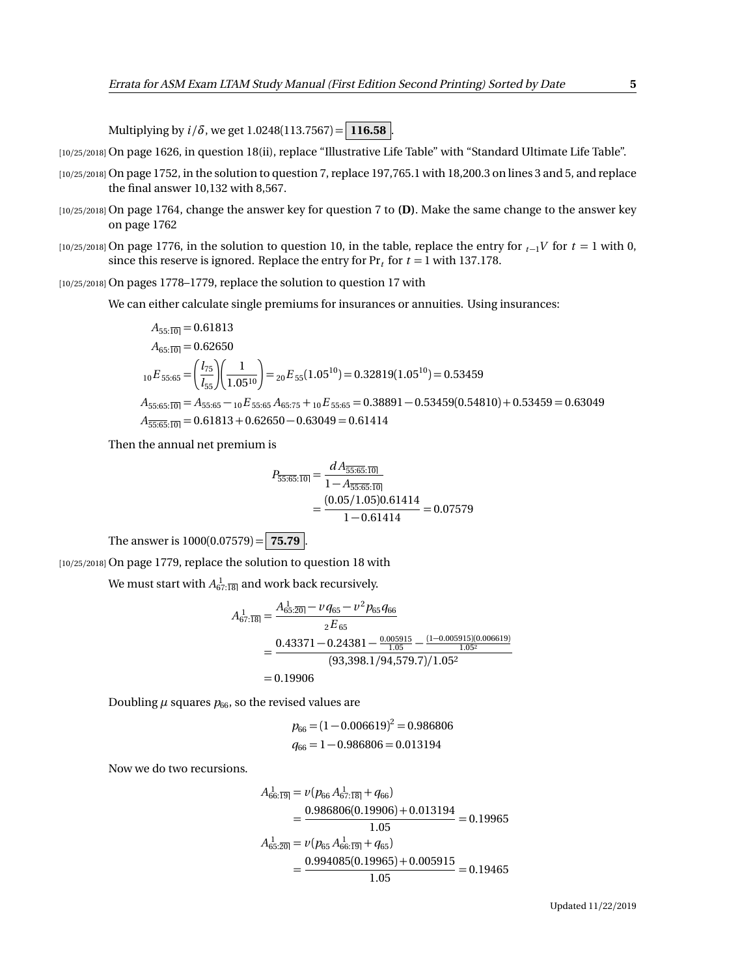Multiplying by  $i/\delta$ , we get 1.0248(113.7567) = 116.58 .

[10/25/2018] On page 1626, in question 18(ii), replace "Illustrative Life Table" with "Standard Ultimate Life Table".

- [10/25/2018] On page 1752, in the solution to question 7, replace 197,765.1 with 18,200.3 on lines 3 and 5, and replace the final answer 10,132 with 8,567.
- [10/25/2018] On page 1764, change the answer key for question 7 to **(D)**. Make the same change to the answer key on page 1762
- [10/25/2018] On page 1776, in the solution to question 10, in the table, replace the entry for  $t_1$ <sup>V</sup> for  $t = 1$  with 0, since this reserve is ignored. Replace the entry for  $Pr<sub>t</sub>$  for  $t = 1$  with 137.178.

[10/25/2018] On pages 1778–1779, replace the solution to question 17 with

We can either calculate single premiums for insurances or annuities. Using insurances:

$$
A_{55:\overline{10|}} = 0.61813
$$
  
\n
$$
A_{65:\overline{10|}} = 0.62650
$$
  
\n
$$
{}_{10}E_{55:65} = \left(\frac{l_{75}}{l_{55}}\right)\left(\frac{1}{1.05^{10}}\right) = {}_{20}E_{55}(1.05^{10}) = 0.32819(1.05^{10}) = 0.53459
$$
  
\n
$$
A_{55:65:\overline{10|}} = A_{55:65} - {}_{10}E_{55:65}A_{65:75} + {}_{10}E_{55:65} = 0.38891 - 0.53459(0.54810) + 0.53459 = 0.63049
$$
  
\n
$$
A_{\overline{55:65:\overline{10|}}} = 0.61813 + 0.62650 - 0.63049 = 0.61414
$$

Then the annual net premium is

$$
P_{\overline{55:65:10|}} = \frac{dA_{\overline{55:65:10|}}}{1 - A_{\overline{55:65:10|}}}
$$
  
= 
$$
\frac{(0.05/1.05)0.61414}{1 - 0.61414} = 0.07579
$$

The answer is  $1000(0.07579) = 75.79$ .

[10/25/2018] On page 1779, replace the solution to question 18 with

We must start with  $A_{67:\overline{18}|}^{1}$  and work back recursively.

$$
A_{67:18}^{1} = \frac{A_{65:20}^{1} - \nu q_{65} - \nu^2 p_{65} q_{66}}{2E_{65}}
$$
  
= 
$$
\frac{0.43371 - 0.24381 - \frac{0.005915}{1.05} - \frac{(1 - 0.005915)(0.006619)}{1.05^2}}{(93,398.1/94,579.7)/1.05^2}
$$
  
= 0.19906

Doubling  $\mu$  squares  $p_{66}$ , so the revised values are

$$
p_{66} = (1 - 0.006619)^2 = 0.986806
$$
  

$$
q_{66} = 1 - 0.986806 = 0.013194
$$

Now we do two recursions.

$$
A_{66:19}^{1} = \nu(p_{66} A_{67:18}^{1} + q_{66})
$$
  
= 
$$
\frac{0.986806(0.19906) + 0.013194}{1.05} = 0.19965
$$
  

$$
A_{65:20}^{1} = \nu(p_{65} A_{66:19}^{1} + q_{65})
$$
  
= 
$$
\frac{0.994085(0.19965) + 0.005915}{1.05} = 0.19465
$$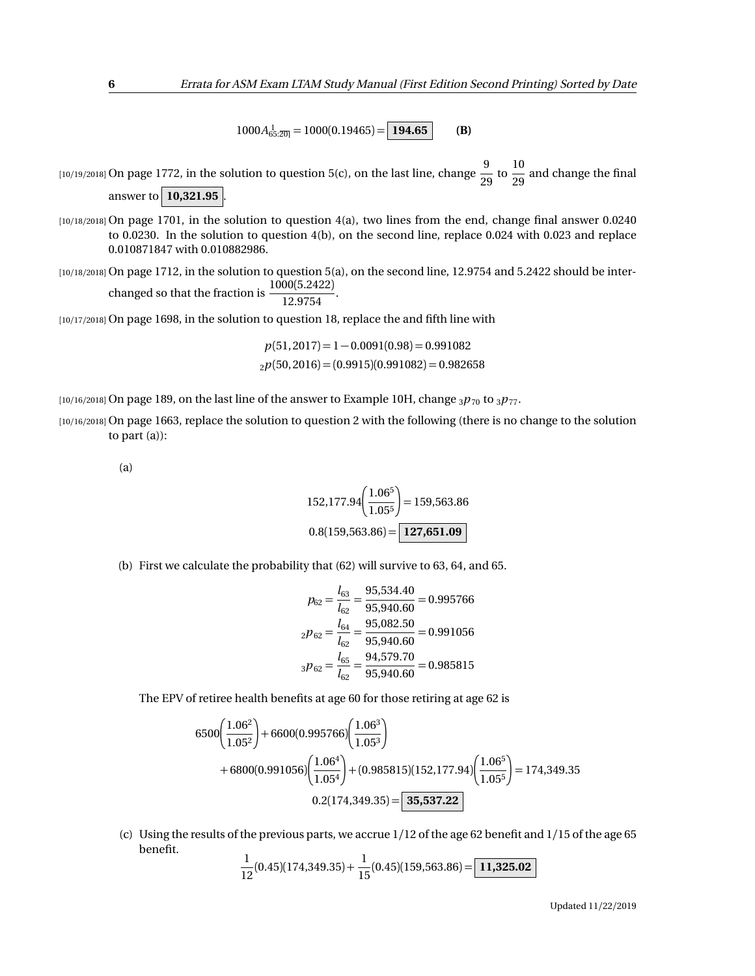$1000A_{65:\overline{20}}^{1} = 1000(0.19465) = | 194.65 |$  **(B)** 

[10/19/2018] On page 1772, in the solution to question 5(c), on the last line, change  $\frac{9}{20}$  $\frac{9}{29}$  to  $\frac{10}{29}$  $\frac{20}{29}$  and change the final

answer to **10,321.95** 

[10/18/2018] On page 1701, in the solution to question 4(a), two lines from the end, change final answer 0.0240 to 0.0230. In the solution to question 4(b), on the second line, replace 0.024 with 0.023 and replace 0.010871847 with 0.010882986.

[10/18/2018] On page 1712, in the solution to question 5(a), on the second line, 12.9754 and 5.2422 should be interchanged so that the fraction is  $\frac{1000(5.2422)}{10.0754}$  $\frac{12.9754}{2}$ .

$$
12.9754
$$

[10/17/2018] On page 1698, in the solution to question 18, replace the and fifth line with

 $p(51, 2017) = 1 - 0.0091(0.98) = 0.991082$  $_{2}p(50, 2016) = (0.9915)(0.991082) = 0.982658$ 

[10/16/2018] On page 189, on the last line of the answer to Example 10H, change  $_3p_{70}$  to  $_3p_{77}$ .

[10/16/2018] On page 1663, replace the solution to question 2 with the following (there is no change to the solution to part (a)):

(a)

$$
152,177.94 \left( \frac{1.06^5}{1.05^5} \right) = 159,563.86
$$

$$
0.8(159,563.86) = \boxed{127,651.09}
$$

(b) First we calculate the probability that (62) will survive to 63, 64, and 65.

$$
p_{62} = \frac{l_{63}}{l_{62}} = \frac{95,534.40}{95,940.60} = 0.995766
$$

$$
{}_2p_{62} = \frac{l_{64}}{l_{62}} = \frac{95,082.50}{95,940.60} = 0.991056
$$

$$
{}_3p_{62} = \frac{l_{65}}{l_{62}} = \frac{94,579.70}{95,940.60} = 0.985815
$$

The EPV of retiree health benefits at age 60 for those retiring at age 62 is

$$
6500\left(\frac{1.06^2}{1.05^2}\right) + 6600(0.995766)\left(\frac{1.06^3}{1.05^3}\right) + 6800(0.991056)\left(\frac{1.06^4}{1.05^4}\right) + (0.985815)(152,177.94)\left(\frac{1.06^5}{1.05^5}\right) = 174,349.35 0.2(174,349.35) = \boxed{35,537.22}
$$

(c) Using the results of the previous parts, we accrue 1/12 of the age 62 benefit and 1/15 of the age 65 benefit.

$$
\frac{1}{12}(0.45)(174,349.35) + \frac{1}{15}(0.45)(159,563.86) = \boxed{11,325.02}
$$

Updated 11/22/2019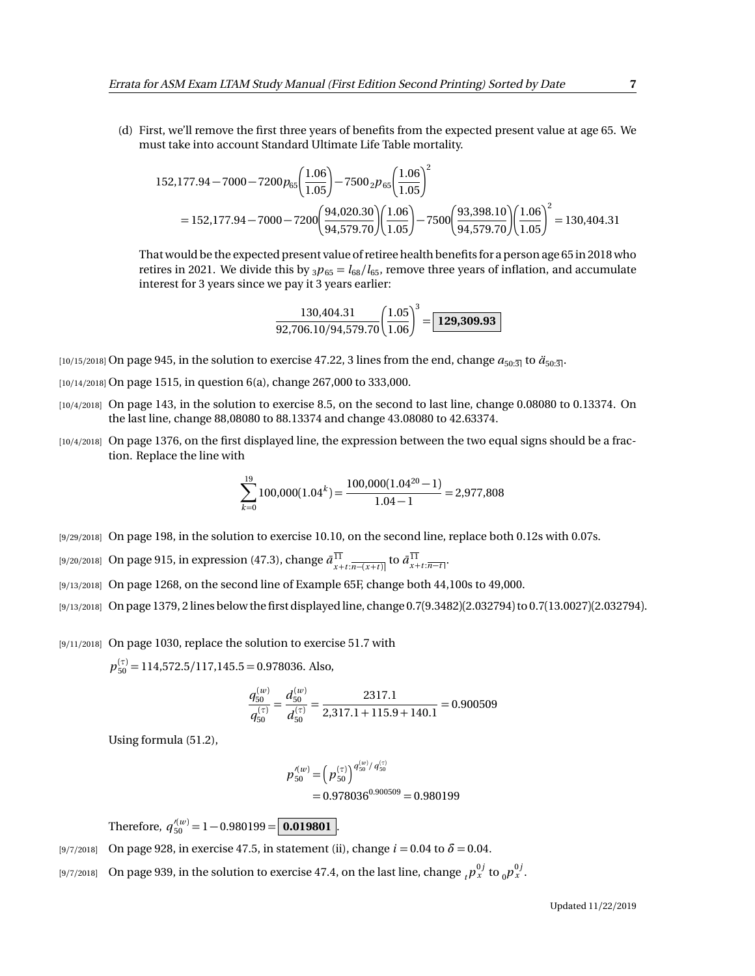(d) First, we'll remove the first three years of benefits from the expected present value at age 65. We must take into account Standard Ultimate Life Table mortality.

$$
152,177.94 - 7000 - 7200p_{65} \left(\frac{1.06}{1.05}\right) - 7500 {}_{2}p_{65} \left(\frac{1.06}{1.05}\right)^{2}
$$
  
= 152,177.94 - 7000 - 7200  $\left(\frac{94,020.30}{94,579.70}\right) \left(\frac{1.06}{1.05}\right) - 7500 \left(\frac{93,398.10}{94,579.70}\right) \left(\frac{1.06}{1.05}\right)^{2} = 130,404.31$ 

That would be the expected present value of retiree health benefits for a person age 65 in 2018 who retires in 2021. We divide this by  $_3p_{65} = l_{68}/l_{65}$ , remove three years of inflation, and accumulate interest for 3 years since we pay it 3 years earlier:

$$
\frac{130,404.31}{92,706.10/94,579.70} \left(\frac{1.05}{1.06}\right)^3 = \boxed{129,309.93}
$$

 $[10/15/2018]$  On page 945, in the solution to exercise 47.22, 3 lines from the end, change  $a_{50:3}$  to  $a_{50:3}$ .

- [10/14/2018] On page 1515, in question 6(a), change 267,000 to 333,000.
- [10/4/2018] On page 143, in the solution to exercise 8.5, on the second to last line, change 0.08080 to 0.13374. On the last line, change 88,08080 to 88.13374 and change 43.08080 to 42.63374.
- [10/4/2018] On page 1376, on the first displayed line, the expression between the two equal signs should be a fraction. Replace the line with

$$
\sum_{k=0}^{19} 100,000(1.04^k) = \frac{100,000(1.04^{20} - 1)}{1.04 - 1} = 2,977,808
$$

- [9/29/2018] On page 198, in the solution to exercise 10.10, on the second line, replace both 0.12s with 0.07s.
- $\frac{1}{2}[9/20/2018]$  On page 915, in expression (47.3), change  $\bar{a}^{11}_{x+t:\overline{n-(x+t)}}$  to  $\bar{a}^{11}_{x+t:\overline{n-t}}$ .
- [9/13/2018] On page 1268, on the second line of Example 65F, change both 44,100s to 49,000.
- [9/13/2018] On page 1379, 2 lines below the first displayed line, change 0.7(9.3482)(2.032794) to 0.7(13.0027)(2.032794).

[9/11/2018] On page 1030, replace the solution to exercise 51.7 with

*p* (*τ*) <sup>50</sup> = 114,572.5*/*117,145.5 = 0.978036. Also,

$$
\frac{q_{50}^{(w)}}{q_{50}^{(\tau)}} = \frac{d_{50}^{(w)}}{d_{50}^{(\tau)}} = \frac{2317.1}{2,317.1 + 115.9 + 140.1} = 0.900509
$$

Using formula (51.2),

$$
p_{50}^{\prime(w)} = (p_{50}^{(\tau)})^{q_{50}^{(w)}/q_{50}^{(\tau)}}
$$
  
= 0.978036<sup>0.900509</sup> = 0.980199

Therefore,  $q_{50}^{\prime(w)} = 1 - 0.980199 = \boxed{0.019801}$ .

- [9/7/2018] On page 928, in exercise 47.5, in statement (ii), change *i* = 0.04 to *δ* = 0.04.
- [9/7/2018] On page 939, in the solution to exercise 47.4, on the last line, change  ${}_tp_x^{0j}$  to  ${}_0p_x^{0j}$ .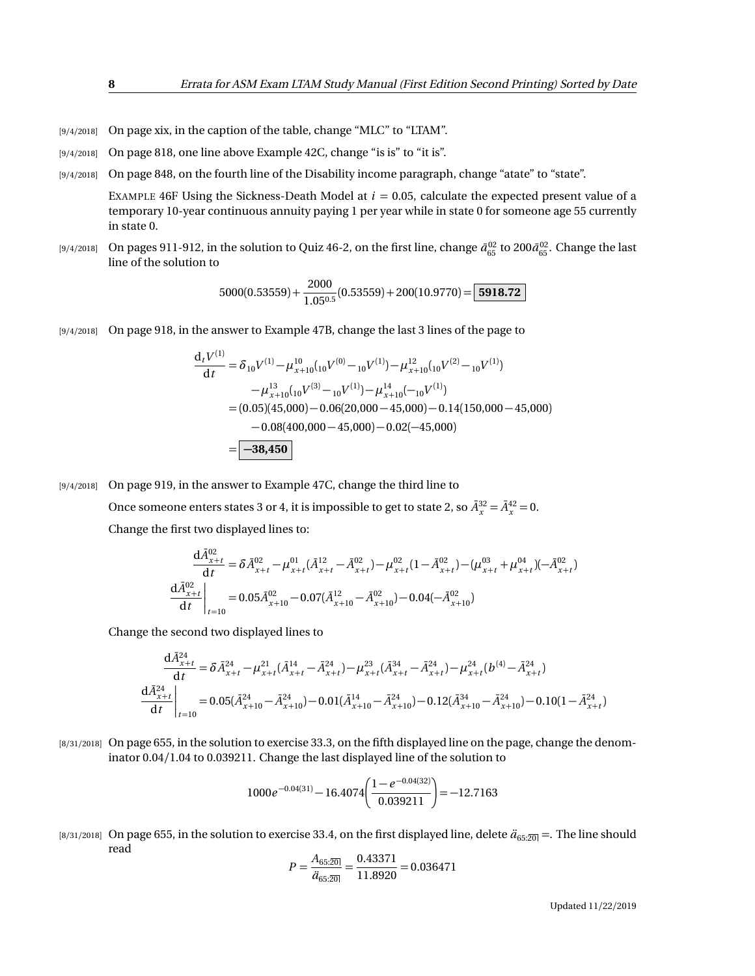- [9/4/2018] On page xix, in the caption of the table, change "MLC" to "LTAM".
- [9/4/2018] On page 818, one line above Example 42C, change "is is" to "it is".
- [9/4/2018] On page 848, on the fourth line of the Disability income paragraph, change "atate" to "state".

EXAMPLE 46F Using the Sickness-Death Model at *i* = 0.05, calculate the expected present value of a temporary 10-year continuous annuity paying 1 per year while in state 0 for someone age 55 currently in state 0.

 $_{[9/4/2018]}$  On pages 911-912, in the solution to Quiz 46-2, on the first line, change  $\bar{a}_{65}^{02}$  to 200 $\bar{a}_{65}^{02}$ . Change the last line of the solution to

$$
5000(0.53559) + \frac{2000}{1.05^{0.5}}(0.53559) + 200(10.9770) = \boxed{5918.72}
$$

[9/4/2018] On page 918, in the answer to Example 47B, change the last 3 lines of the page to

$$
\frac{d_t V^{(1)}}{dt} = \delta_{10} V^{(1)} - \mu_{x+10}^{10} ({}_{10}V^{(0)} - {}_{10}V^{(1)}) - \mu_{x+10}^{12} ({}_{10}V^{(2)} - {}_{10}V^{(1)})
$$

$$
- \mu_{x+10}^{13} ({}_{10}V^{(3)} - {}_{10}V^{(1)}) - \mu_{x+10}^{14} (-{}_{10}V^{(1)})
$$

$$
= (0.05)(45,000) - 0.06(20,000 - 45,000) - 0.14(150,000 - 45,000)
$$

$$
- 0.08(400,000 - 45,000) - 0.02(-45,000)
$$

$$
= \boxed{-38,450}
$$

[9/4/2018] On page 919, in the answer to Example 47C, change the third line to

Once someone enters states 3 or 4, it is impossible to get to state 2, so  $\bar{A}_x^{32} = \bar{A}_x^{42} = 0$ . Change the first two displayed lines to:

$$
\frac{\mathrm{d}\bar{A}_{x+t}^{02}}{\mathrm{d}t} = \delta \bar{A}_{x+t}^{02} - \mu_{x+t}^{01} (\bar{A}_{x+t}^{12} - \bar{A}_{x+t}^{02}) - \mu_{x+t}^{02} (1 - \bar{A}_{x+t}^{02}) - (\mu_{x+t}^{03} + \mu_{x+t}^{04}) (-\bar{A}_{x+t}^{02})
$$
\n
$$
\frac{\mathrm{d}\bar{A}_{x+t}^{02}}{\mathrm{d}t}\bigg|_{t=10} = 0.05 \bar{A}_{x+10}^{02} - 0.07 (\bar{A}_{x+10}^{12} - \bar{A}_{x+10}^{02}) - 0.04 (-\bar{A}_{x+10}^{02})
$$

Change the second two displayed lines to

$$
\frac{\mathrm{d}\bar{A}_{x+t}^{24}}{\mathrm{d}t} = \delta \bar{A}_{x+t}^{24} - \mu_{x+t}^{21} (\bar{A}_{x+t}^{14} - \bar{A}_{x+t}^{24}) - \mu_{x+t}^{23} (\bar{A}_{x+t}^{34} - \bar{A}_{x+t}^{24}) - \mu_{x+t}^{24} (b^{(4)} - \bar{A}_{x+t}^{24})
$$
\n
$$
\frac{\mathrm{d}\bar{A}_{x+t}^{24}}{\mathrm{d}t} \bigg|_{t=10} = 0.05(\bar{A}_{x+10}^{24} - \bar{A}_{x+10}^{24}) - 0.01(\bar{A}_{x+10}^{14} - \bar{A}_{x+10}^{24}) - 0.12(\bar{A}_{x+10}^{34} - \bar{A}_{x+10}^{24}) - 0.10(1 - \bar{A}_{x+t}^{24})
$$

[8/31/2018] On page 655, in the solution to exercise 33.3, on the fifth displayed line on the page, change the denominator 0.04*/*1.04 to 0.039211. Change the last displayed line of the solution to

$$
1000e^{-0.04(31)} - 16.4074 \left( \frac{1 - e^{-0.04(32)}}{0.039211} \right) = -12.7163
$$

[8/31/2018] On page 655, in the solution to exercise 33.4, on the first displayed line, delete  $\ddot{a}_{65:20}$  =. The line should read 0.43371

$$
P = \frac{A_{65:20}}{\ddot{a}_{65:20}} = \frac{0.43371}{11.8920} = 0.036471
$$

Updated 11/22/2019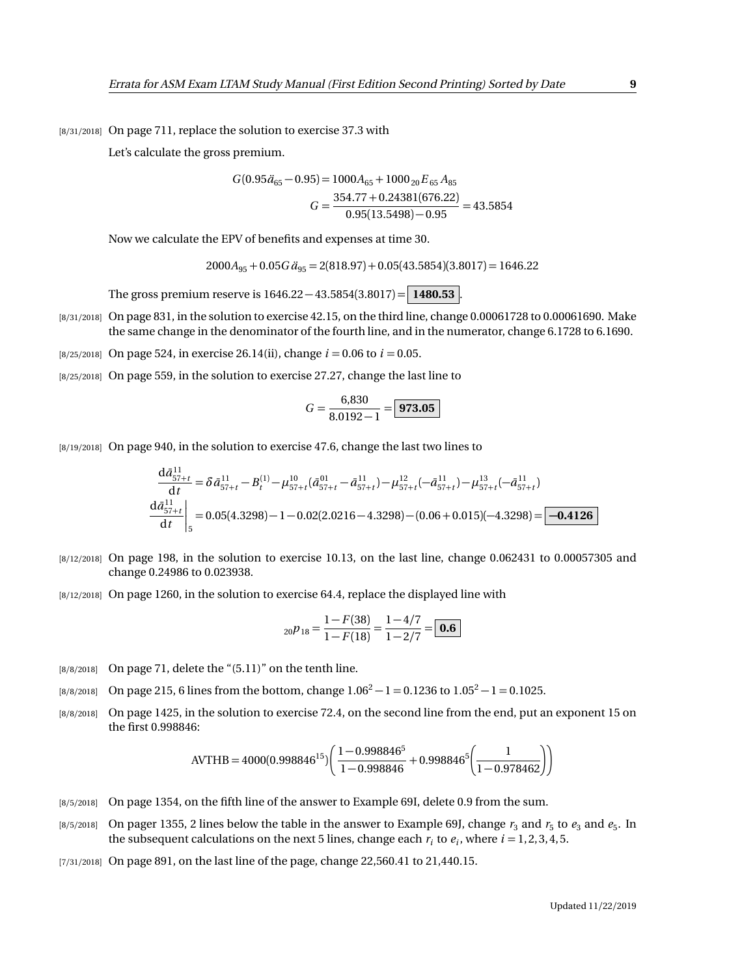[8/31/2018] On page 711, replace the solution to exercise 37.3 with

Let's calculate the gross premium.

$$
G(0.95\ddot{a}_{65} - 0.95) = 1000A_{65} + 1000_{20}E_{65}A_{85}
$$

$$
G = \frac{354.77 + 0.24381(676.22)}{0.95(13.5498) - 0.95} = 43.5854
$$

Now we calculate the EPV of benefits and expenses at time 30.

$$
2000A_{95} + 0.05G\ddot{a}_{95} = 2(818.97) + 0.05(43.5854)(3.8017) = 1646.22
$$

The gross premium reserve is 1646.22 − 43.5854(3.8017) = **1480.53** .

[8/31/2018] On page 831, in the solution to exercise 42.15, on the third line, change 0.00061728 to 0.00061690. Make the same change in the denominator of the fourth line, and in the numerator, change 6.1728 to 6.1690.

 $[8/25/2018]$  On page 524, in exercise 26.14(ii), change  $i = 0.06$  to  $i = 0.05$ .

[8/25/2018] On page 559, in the solution to exercise 27.27, change the last line to

$$
G = \frac{6,830}{8.0192 - 1} = \boxed{973.05}
$$

[8/19/2018] On page 940, in the solution to exercise 47.6, change the last two lines to

$$
\frac{d\bar{a}_{57+t}^{11}}{dt} = \delta \bar{a}_{57+t}^{11} - B_t^{(1)} - \mu_{57+t}^{10} (\bar{a}_{57+t}^{01} - \bar{a}_{57+t}^{11}) - \mu_{57+t}^{12} (-\bar{a}_{57+t}^{11}) - \mu_{57+t}^{13} (-\bar{a}_{57+t}^{11})
$$
  
\n
$$
\frac{d\bar{a}_{57+t}^{11}}{dt} \bigg|_{5} = 0.05(4.3298) - 1 - 0.02(2.0216 - 4.3298) - (0.06 + 0.015)(-4.3298) = \boxed{-0.4126}
$$

- [8/12/2018] On page 198, in the solution to exercise 10.13, on the last line, change 0.062431 to 0.00057305 and change 0.24986 to 0.023938.
- [8/12/2018] On page 1260, in the solution to exercise 64.4, replace the displayed line with

$$
{}_{20}p_{18} = \frac{1 - F(38)}{1 - F(18)} = \frac{1 - 4/7}{1 - 2/7} = \boxed{\textbf{0.6}}
$$

- [8/8/2018] On page 71, delete the "(5.11)" on the tenth line.
- [8/8/2018] On page 215, 6 lines from the bottom, change  $1.06^2 1 = 0.1236$  to  $1.05^2 1 = 0.1025$ .
- [8/8/2018] On page 1425, in the solution to exercise 72.4, on the second line from the end, put an exponent 15 on the first 0.998846:

$$
AVTHB = 4000(0.998846^{15}) \left( \frac{1 - 0.998846^5}{1 - 0.998846} + 0.998846^5 \left( \frac{1}{1 - 0.978462} \right) \right)
$$

- [8/5/2018] On page 1354, on the fifth line of the answer to Example 69I, delete 0.9 from the sum.
- $_{[8/5/2018]}$  On pager 1355, 2 lines below the table in the answer to Example 69J, change  $r_3$  and  $r_5$  to  $e_3$  and  $e_5$ . In the subsequent calculations on the next 5 lines, change each  $r_i$  to  $e_i$ , where  $i = 1, 2, 3, 4, 5$ .
- [7/31/2018] On page 891, on the last line of the page, change 22,560.41 to 21,440.15.